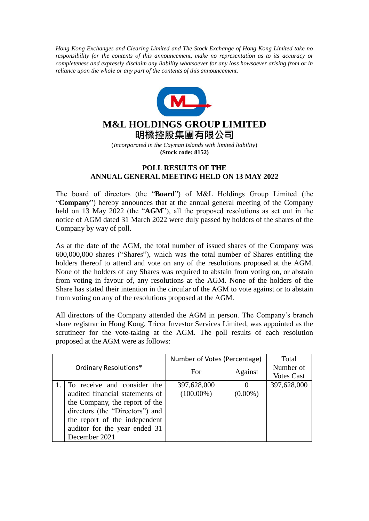*Hong Kong Exchanges and Clearing Limited and The Stock Exchange of Hong Kong Limited take no responsibility for the contents of this announcement, make no representation as to its accuracy or completeness and expressly disclaim any liability whatsoever for any loss howsoever arising from or in reliance upon the whole or any part of the contents of this announcement.*



## **M&L HOLDINGS GROUP LIMITED 明樑控股集團有限公司**

(*Incorporated in the Cayman Islands with limited liability*) **(Stock code: 8152)**

## **POLL RESULTS OF THE ANNUAL GENERAL MEETING HELD ON 13 MAY 2022**

The board of directors (the "**Board**") of M&L Holdings Group Limited (the "**Company**") hereby announces that at the annual general meeting of the Company held on 13 May 2022 (the "**AGM**"), all the proposed resolutions as set out in the notice of AGM dated 31 March 2022 were duly passed by holders of the shares of the Company by way of poll.

As at the date of the AGM, the total number of issued shares of the Company was 600,000,000 shares ("Shares"), which was the total number of Shares entitling the holders thereof to attend and vote on any of the resolutions proposed at the AGM. None of the holders of any Shares was required to abstain from voting on, or abstain from voting in favour of, any resolutions at the AGM. None of the holders of the Share has stated their intention in the circular of the AGM to vote against or to abstain from voting on any of the resolutions proposed at the AGM.

All directors of the Company attended the AGM in person. The Company's branch share registrar in Hong Kong, Tricor Investor Services Limited, was appointed as the scrutineer for the vote-taking at the AGM. The poll results of each resolution proposed at the AGM were as follows:

| Ordinary Resolutions* |                                 | Number of Votes (Percentage) |            | Total             |
|-----------------------|---------------------------------|------------------------------|------------|-------------------|
|                       |                                 | For.                         | Against    | Number of         |
|                       |                                 |                              |            | <b>Votes Cast</b> |
|                       | To receive and consider the     | 397,628,000                  |            | 397,628,000       |
|                       | audited financial statements of | $(100.00\%)$                 | $(0.00\%)$ |                   |
|                       | the Company, the report of the  |                              |            |                   |
|                       | directors (the "Directors") and |                              |            |                   |
|                       | the report of the independent   |                              |            |                   |
|                       | auditor for the year ended 31   |                              |            |                   |
|                       | December 2021                   |                              |            |                   |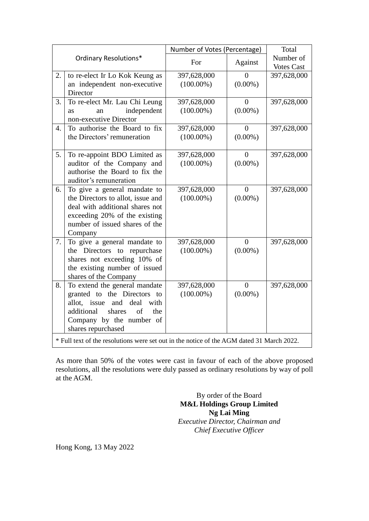| Ordinary Resolutions*                                                                     |                                                             | Number of Votes (Percentage) |                        | Total                          |  |  |
|-------------------------------------------------------------------------------------------|-------------------------------------------------------------|------------------------------|------------------------|--------------------------------|--|--|
|                                                                                           |                                                             | For                          | Against                | Number of<br><b>Votes Cast</b> |  |  |
| 2.                                                                                        | to re-elect Ir Lo Kok Keung as                              | 397,628,000                  | $\Omega$               | 397,628,000                    |  |  |
|                                                                                           | an independent non-executive                                | $(100.00\%)$                 | $(0.00\%)$             |                                |  |  |
|                                                                                           | Director                                                    |                              |                        |                                |  |  |
| 3.                                                                                        | To re-elect Mr. Lau Chi Leung                               | 397,628,000                  | $\boldsymbol{0}$       | 397,628,000                    |  |  |
|                                                                                           | independent<br><b>as</b><br>an<br>non-executive Director    | $(100.00\%)$                 | $(0.00\%)$             |                                |  |  |
| $\overline{4}$ .                                                                          | To authorise the Board to fix                               | 397,628,000                  | $\theta$               | 397,628,000                    |  |  |
|                                                                                           | the Directors' remuneration                                 | $(100.00\%)$                 | $(0.00\%)$             |                                |  |  |
|                                                                                           |                                                             |                              |                        |                                |  |  |
| 5.                                                                                        | To re-appoint BDO Limited as                                | 397,628,000                  | $\theta$               | 397,628,000                    |  |  |
|                                                                                           | auditor of the Company and                                  | $(100.00\%)$                 | $(0.00\%)$             |                                |  |  |
|                                                                                           | authorise the Board to fix the                              |                              |                        |                                |  |  |
|                                                                                           | auditor's remuneration                                      |                              |                        |                                |  |  |
| 6.                                                                                        | To give a general mandate to                                | 397,628,000                  | $\overline{0}$         | 397,628,000                    |  |  |
|                                                                                           | the Directors to allot, issue and                           | $(100.00\%)$                 | $(0.00\%)$             |                                |  |  |
|                                                                                           | deal with additional shares not                             |                              |                        |                                |  |  |
|                                                                                           | exceeding 20% of the existing                               |                              |                        |                                |  |  |
|                                                                                           | number of issued shares of the                              |                              |                        |                                |  |  |
|                                                                                           | Company                                                     |                              |                        |                                |  |  |
| 7.                                                                                        | To give a general mandate to<br>the Directors to repurchase | 397,628,000<br>$(100.00\%)$  | $\Omega$<br>$(0.00\%)$ | 397,628,000                    |  |  |
|                                                                                           | shares not exceeding 10% of                                 |                              |                        |                                |  |  |
|                                                                                           | the existing number of issued                               |                              |                        |                                |  |  |
|                                                                                           | shares of the Company                                       |                              |                        |                                |  |  |
| 8.                                                                                        | To extend the general mandate                               | 397,628,000                  | $\theta$               | 397,628,000                    |  |  |
|                                                                                           | granted to the Directors to                                 | $(100.00\%)$                 | $(0.00\%)$             |                                |  |  |
|                                                                                           | allot, issue<br>and<br>deal<br>with                         |                              |                        |                                |  |  |
|                                                                                           | of<br>additional<br>shares<br>the                           |                              |                        |                                |  |  |
|                                                                                           | Company by the number of                                    |                              |                        |                                |  |  |
|                                                                                           | shares repurchased                                          |                              |                        |                                |  |  |
| * Full text of the resolutions were set out in the notice of the AGM dated 31 March 2022. |                                                             |                              |                        |                                |  |  |

As more than 50% of the votes were cast in favour of each of the above proposed resolutions, all the resolutions were duly passed as ordinary resolutions by way of poll at the AGM.

> By order of the Board **M&L Holdings Group Limited Ng Lai Ming** *Executive Director, Chairman and Chief Executive Officer*

Hong Kong, 13 May 2022